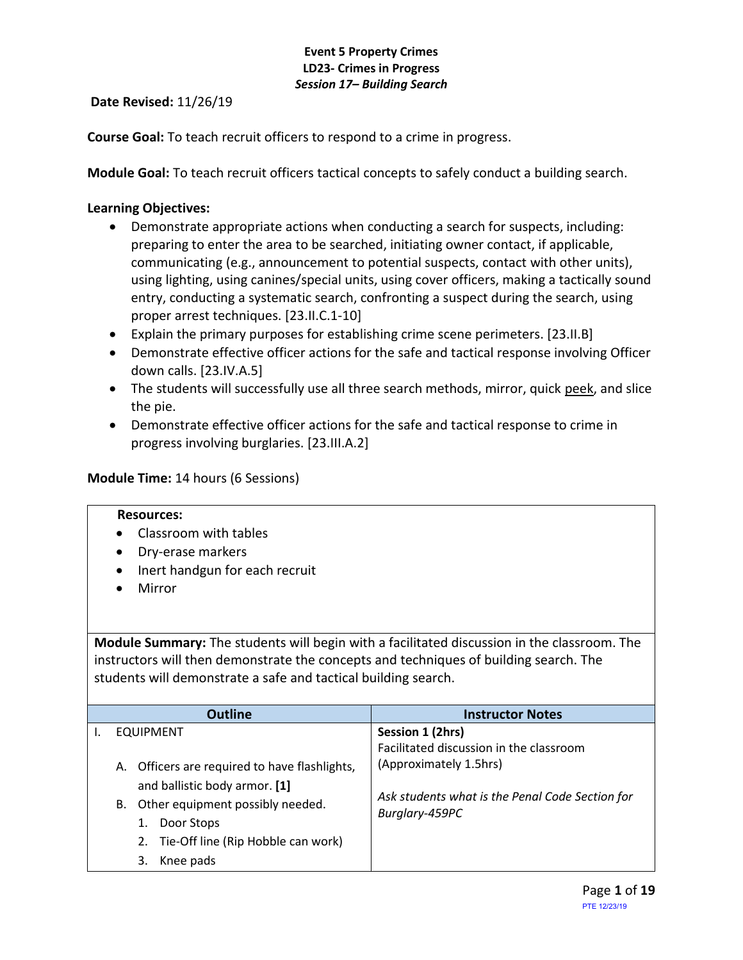**Date Revised:** 11/26/19

**Course Goal:** To teach recruit officers to respond to a crime in progress.

**Module Goal:** To teach recruit officers tactical concepts to safely conduct a building search.

### **Learning Objectives:**

- Demonstrate appropriate actions when conducting a search for suspects, including: preparing to enter the area to be searched, initiating owner contact, if applicable, communicating (e.g., announcement to potential suspects, contact with other units), using lighting, using canines/special units, using cover officers, making a tactically sound entry, conducting a systematic search, confronting a suspect during the search, using proper arrest techniques. [23.II.C.1-10]
- Explain the primary purposes for establishing crime scene perimeters. [23.II.B]
- Demonstrate effective officer actions for the safe and tactical response involving Officer down calls. [23.IV.A.5]
- The students will successfully use all three search methods, mirror, quick peek, and slice the pie.
- Demonstrate effective officer actions for the safe and tactical response to crime in progress involving burglaries. [23.III.A.2]

### **Module Time:** 14 hours (6 Sessions)

#### **Resources:**

- Classroom with tables
- Dry-erase markers
- Inert handgun for each recruit
- Mirror

**Module Summary:** The students will begin with a facilitated discussion in the classroom. The instructors will then demonstrate the concepts and techniques of building search. The students will demonstrate a safe and tactical building search.

| <b>Outline</b>                                | <b>Instructor Notes</b>                         |
|-----------------------------------------------|-------------------------------------------------|
| <b>EQUIPMENT</b>                              | Session 1 (2hrs)                                |
|                                               | Facilitated discussion in the classroom         |
| A. Officers are required to have flashlights, | (Approximately 1.5hrs)                          |
| and ballistic body armor. [1]                 |                                                 |
| Other equipment possibly needed.<br>В.        | Ask students what is the Penal Code Section for |
| Door Stops                                    | Burglary-459PC                                  |
| 2. Tie-Off line (Rip Hobble can work)         |                                                 |
| Knee pads<br>3.                               |                                                 |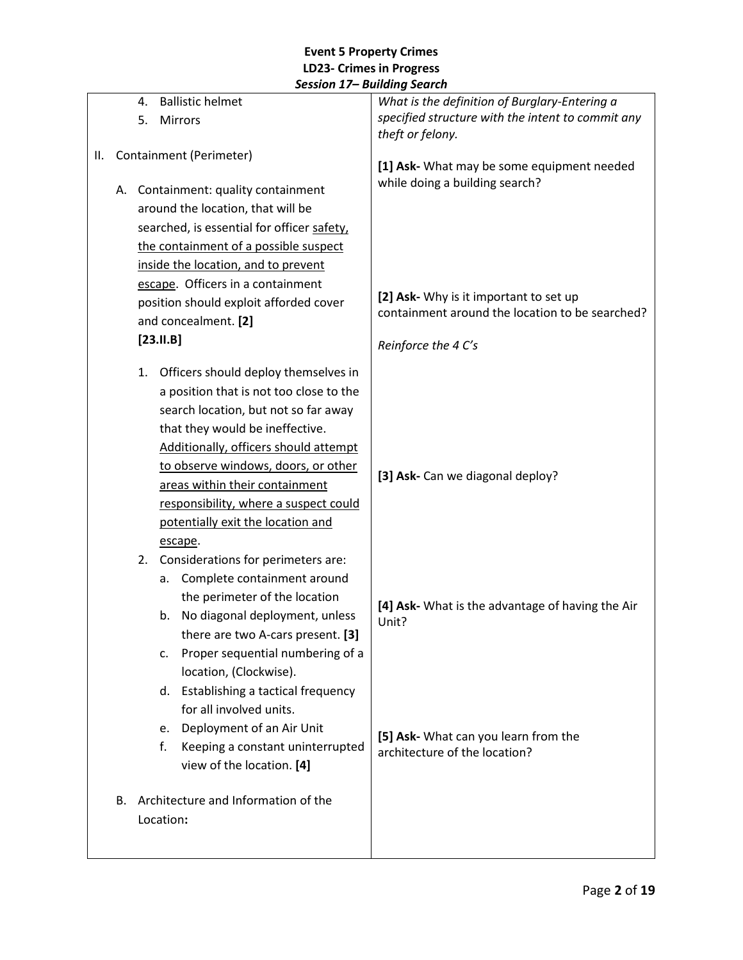|    |    |                                                                              |                                            | Panama Jearun                                                                             |
|----|----|------------------------------------------------------------------------------|--------------------------------------------|-------------------------------------------------------------------------------------------|
|    |    | 4.                                                                           | <b>Ballistic helmet</b>                    | What is the definition of Burglary-Entering a                                             |
|    |    | 5.                                                                           | Mirrors                                    | specified structure with the intent to commit any                                         |
|    |    |                                                                              |                                            | theft or felony.                                                                          |
| Ш. |    |                                                                              | Containment (Perimeter)                    | [1] Ask- What may be some equipment needed                                                |
|    |    |                                                                              |                                            | while doing a building search?                                                            |
|    |    |                                                                              | A. Containment: quality containment        |                                                                                           |
|    |    |                                                                              | around the location, that will be          |                                                                                           |
|    |    |                                                                              | searched, is essential for officer safety, |                                                                                           |
|    |    |                                                                              | the containment of a possible suspect      |                                                                                           |
|    |    |                                                                              | inside the location, and to prevent        |                                                                                           |
|    |    |                                                                              | escape. Officers in a containment          |                                                                                           |
|    |    |                                                                              | position should exploit afforded cover     | [2] Ask- Why is it important to set up<br>containment around the location to be searched? |
|    |    |                                                                              | and concealment. [2]                       |                                                                                           |
|    |    |                                                                              | $[23.11.B]$                                | Reinforce the 4 C's                                                                       |
|    |    | 1.                                                                           | Officers should deploy themselves in       |                                                                                           |
|    |    |                                                                              | a position that is not too close to the    |                                                                                           |
|    |    |                                                                              | search location, but not so far away       |                                                                                           |
|    |    |                                                                              | that they would be ineffective.            |                                                                                           |
|    |    | Additionally, officers should attempt<br>to observe windows, doors, or other |                                            |                                                                                           |
|    |    |                                                                              |                                            |                                                                                           |
|    |    | areas within their containment                                               |                                            | [3] Ask- Can we diagonal deploy?                                                          |
|    |    | responsibility, where a suspect could                                        |                                            |                                                                                           |
|    |    |                                                                              | potentially exit the location and          |                                                                                           |
|    |    |                                                                              | escape.                                    |                                                                                           |
|    |    | 2.                                                                           | Considerations for perimeters are:         |                                                                                           |
|    |    |                                                                              | Complete containment around<br>а.          |                                                                                           |
|    |    |                                                                              | the perimeter of the location              |                                                                                           |
|    |    |                                                                              | No diagonal deployment, unless<br>b.       | [4] Ask- What is the advantage of having the Air<br>Unit?                                 |
|    |    |                                                                              | there are two A-cars present. [3]          |                                                                                           |
|    |    |                                                                              | Proper sequential numbering of a<br>c.     |                                                                                           |
|    |    |                                                                              | location, (Clockwise).                     |                                                                                           |
|    |    |                                                                              | d. Establishing a tactical frequency       |                                                                                           |
|    |    |                                                                              | for all involved units.                    |                                                                                           |
|    |    |                                                                              | e. Deployment of an Air Unit               |                                                                                           |
|    |    |                                                                              | Keeping a constant uninterrupted<br>f.     | [5] Ask- What can you learn from the<br>architecture of the location?                     |
|    |    |                                                                              | view of the location. [4]                  |                                                                                           |
|    |    |                                                                              |                                            |                                                                                           |
|    | В. |                                                                              | Architecture and Information of the        |                                                                                           |
|    |    |                                                                              | Location:                                  |                                                                                           |
|    |    |                                                                              |                                            |                                                                                           |
|    |    |                                                                              |                                            |                                                                                           |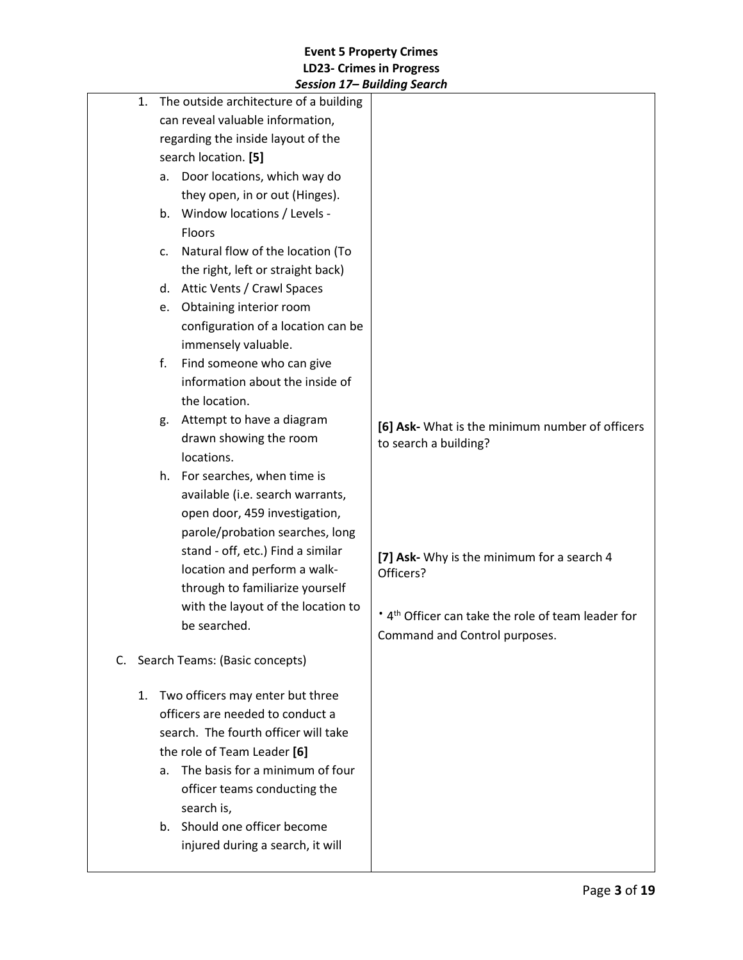|          | JESSIUII 17 – DUIIUIIIY JEUIUII                                                                                                                                                                                                                                                                                                                                                                                                                                                                                                    |                                                                                                                                                                                                                                        |
|----------|------------------------------------------------------------------------------------------------------------------------------------------------------------------------------------------------------------------------------------------------------------------------------------------------------------------------------------------------------------------------------------------------------------------------------------------------------------------------------------------------------------------------------------|----------------------------------------------------------------------------------------------------------------------------------------------------------------------------------------------------------------------------------------|
| 1.       | The outside architecture of a building<br>can reveal valuable information,<br>regarding the inside layout of the<br>search location. [5]<br>Door locations, which way do<br>а.<br>they open, in or out (Hinges).<br>b. Window locations / Levels -<br><b>Floors</b><br>Natural flow of the location (To<br>c.<br>the right, left or straight back)<br>d. Attic Vents / Crawl Spaces<br>Obtaining interior room<br>e.                                                                                                               |                                                                                                                                                                                                                                        |
|          | configuration of a location can be<br>immensely valuable.<br>Find someone who can give<br>f.<br>information about the inside of<br>the location.<br>Attempt to have a diagram<br>g.<br>drawn showing the room<br>locations.<br>h. For searches, when time is<br>available (i.e. search warrants,<br>open door, 459 investigation,<br>parole/probation searches, long<br>stand - off, etc.) Find a similar<br>location and perform a walk-<br>through to familiarize yourself<br>with the layout of the location to<br>be searched. | [6] Ask- What is the minimum number of officers<br>to search a building?<br>[7] Ask- Why is the minimum for a search 4<br>Officers?<br>* 4 <sup>th</sup> Officer can take the role of team leader for<br>Command and Control purposes. |
| C.<br>1. | Search Teams: (Basic concepts)<br>Two officers may enter but three<br>officers are needed to conduct a<br>search. The fourth officer will take<br>the role of Team Leader [6]<br>The basis for a minimum of four<br>a.<br>officer teams conducting the<br>search is,<br>b. Should one officer become<br>injured during a search, it will                                                                                                                                                                                           |                                                                                                                                                                                                                                        |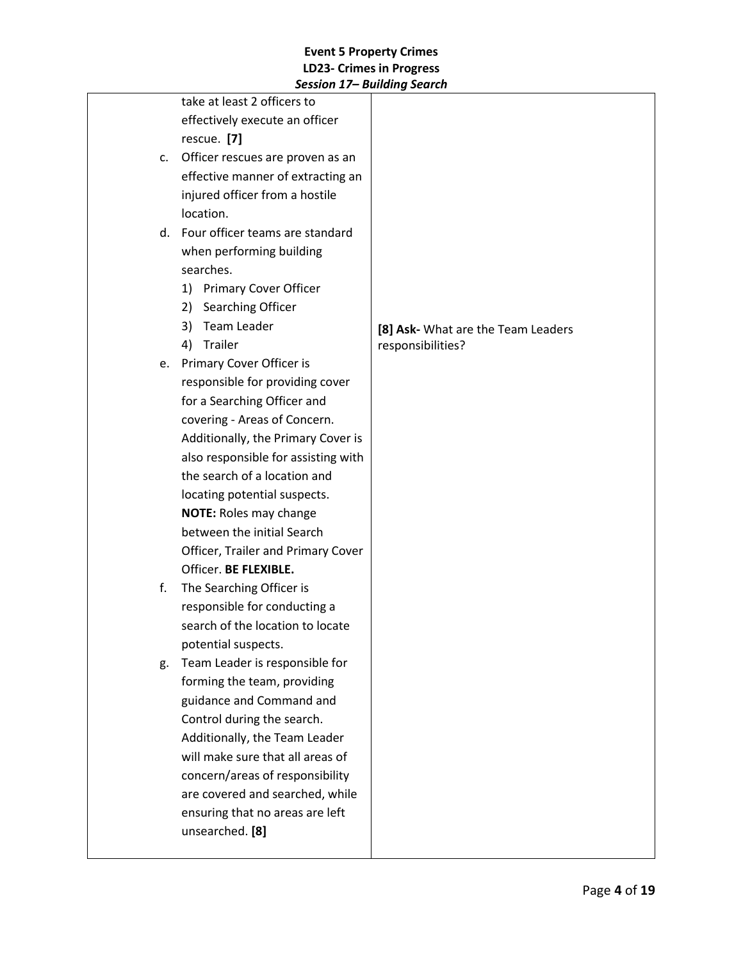|    | session 17 Dununiy seuren           |                                    |
|----|-------------------------------------|------------------------------------|
|    | take at least 2 officers to         |                                    |
|    | effectively execute an officer      |                                    |
|    | rescue. [7]                         |                                    |
| c. | Officer rescues are proven as an    |                                    |
|    | effective manner of extracting an   |                                    |
|    | injured officer from a hostile      |                                    |
|    | location.                           |                                    |
|    | d. Four officer teams are standard  |                                    |
|    | when performing building            |                                    |
|    | searches.                           |                                    |
|    | 1) Primary Cover Officer            |                                    |
|    | Searching Officer<br>2)             |                                    |
|    | Team Leader<br>3)                   | [8] Ask- What are the Team Leaders |
|    | Trailer<br>4)                       | responsibilities?                  |
|    | e. Primary Cover Officer is         |                                    |
|    | responsible for providing cover     |                                    |
|    | for a Searching Officer and         |                                    |
|    | covering - Areas of Concern.        |                                    |
|    | Additionally, the Primary Cover is  |                                    |
|    | also responsible for assisting with |                                    |
|    | the search of a location and        |                                    |
|    | locating potential suspects.        |                                    |
|    | <b>NOTE: Roles may change</b>       |                                    |
|    | between the initial Search          |                                    |
|    | Officer, Trailer and Primary Cover  |                                    |
|    | Officer. BE FLEXIBLE.               |                                    |
| f. | The Searching Officer is            |                                    |
|    | responsible for conducting a        |                                    |
|    | search of the location to locate    |                                    |
|    | potential suspects.                 |                                    |
| g. | Team Leader is responsible for      |                                    |
|    | forming the team, providing         |                                    |
|    | guidance and Command and            |                                    |
|    | Control during the search.          |                                    |
|    | Additionally, the Team Leader       |                                    |
|    | will make sure that all areas of    |                                    |
|    | concern/areas of responsibility     |                                    |
|    | are covered and searched, while     |                                    |
|    | ensuring that no areas are left     |                                    |
|    | unsearched. [8]                     |                                    |
|    |                                     |                                    |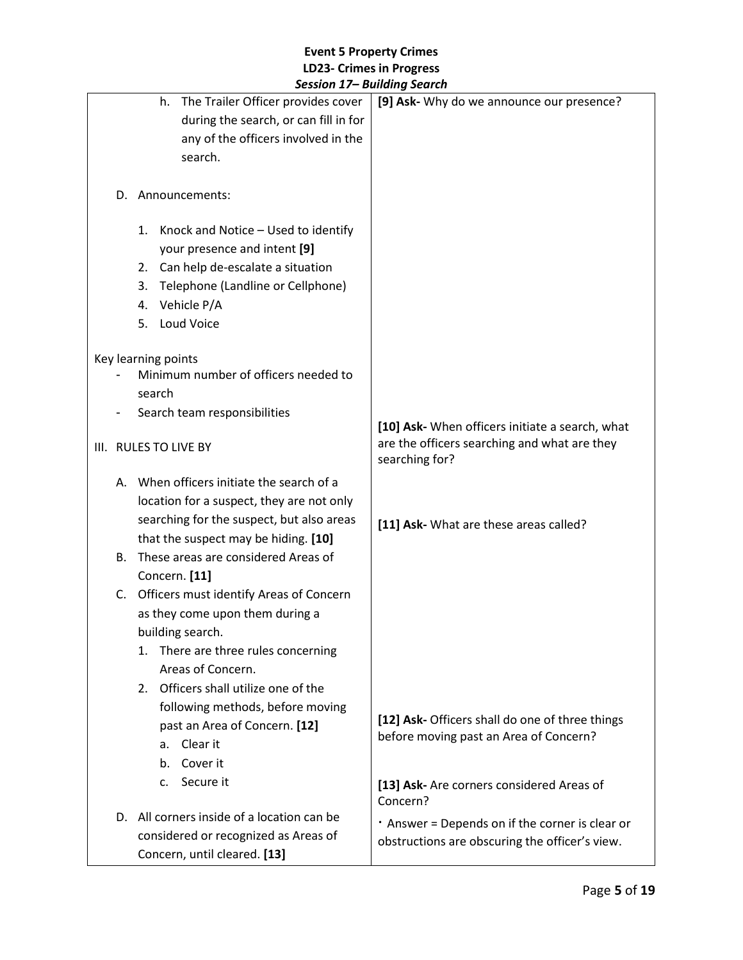|                              |    |                                            | scssion 17 Dununiy Scuren                             |
|------------------------------|----|--------------------------------------------|-------------------------------------------------------|
|                              |    | The Trailer Officer provides cover<br>h.   | [9] Ask- Why do we announce our presence?             |
|                              |    | during the search, or can fill in for      |                                                       |
|                              |    | any of the officers involved in the        |                                                       |
|                              |    | search.                                    |                                                       |
|                              |    |                                            |                                                       |
|                              |    | D. Announcements:                          |                                                       |
|                              |    |                                            |                                                       |
|                              |    | 1. Knock and Notice - Used to identify     |                                                       |
|                              |    | your presence and intent [9]               |                                                       |
|                              |    | 2. Can help de-escalate a situation        |                                                       |
|                              |    | Telephone (Landline or Cellphone)<br>3.    |                                                       |
|                              |    | Vehicle P/A<br>4.                          |                                                       |
|                              |    | Loud Voice<br>5.                           |                                                       |
|                              |    |                                            |                                                       |
|                              |    | Key learning points                        |                                                       |
|                              |    | Minimum number of officers needed to       |                                                       |
|                              |    | search                                     |                                                       |
|                              |    | Search team responsibilities               |                                                       |
|                              |    |                                            | [10] Ask- When officers initiate a search, what       |
|                              |    | III. RULES TO LIVE BY                      | are the officers searching and what are they          |
|                              |    |                                            | searching for?                                        |
|                              |    | A. When officers initiate the search of a  |                                                       |
|                              |    | location for a suspect, they are not only  |                                                       |
|                              |    | searching for the suspect, but also areas  | [11] Ask- What are these areas called?                |
|                              |    | that the suspect may be hiding. [10]       |                                                       |
|                              | В. | These areas are considered Areas of        |                                                       |
|                              |    | Concern. [11]                              |                                                       |
|                              |    | C. Officers must identify Areas of Concern |                                                       |
|                              |    | as they come upon them during a            |                                                       |
|                              |    | building search.                           |                                                       |
|                              |    | There are three rules concerning<br>1.     |                                                       |
|                              |    | Areas of Concern.                          |                                                       |
|                              |    |                                            |                                                       |
|                              |    | 2. Officers shall utilize one of the       |                                                       |
|                              |    | following methods, before moving           | [12] Ask- Officers shall do one of three things       |
|                              |    | past an Area of Concern. [12]              | before moving past an Area of Concern?                |
|                              |    | Clear it<br>а.                             |                                                       |
|                              |    | Cover it<br>b.                             |                                                       |
|                              |    | Secure it<br>c.                            | [13] Ask- Are corners considered Areas of<br>Concern? |
|                              |    | D. All corners inside of a location can be | . Answer = Depends on if the corner is clear or       |
|                              |    | considered or recognized as Areas of       | obstructions are obscuring the officer's view.        |
| Concern, until cleared. [13] |    |                                            |                                                       |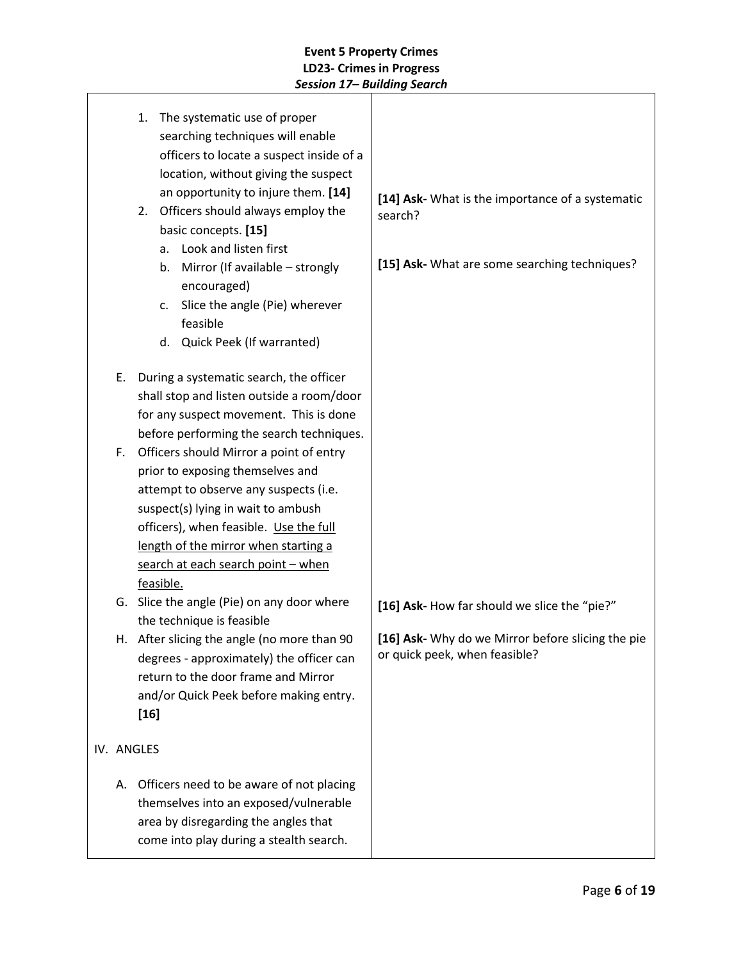|    | 1. The systematic use of proper<br>searching techniques will enable<br>officers to locate a suspect inside of a<br>location, without giving the suspect<br>an opportunity to injure them. [14]<br>2. Officers should always employ the<br>basic concepts. [15]<br>Look and listen first<br>a.<br>Mirror (If available - strongly<br>b.<br>encouraged)<br>Slice the angle (Pie) wherever<br>c.<br>feasible<br>d. Quick Peek (If warranted) | [14] Ask- What is the importance of a systematic<br>search?<br>[15] Ask- What are some searching techniques? |
|----|-------------------------------------------------------------------------------------------------------------------------------------------------------------------------------------------------------------------------------------------------------------------------------------------------------------------------------------------------------------------------------------------------------------------------------------------|--------------------------------------------------------------------------------------------------------------|
| Ε. | During a systematic search, the officer<br>shall stop and listen outside a room/door<br>for any suspect movement. This is done<br>before performing the search techniques.                                                                                                                                                                                                                                                                |                                                                                                              |
| F. | Officers should Mirror a point of entry<br>prior to exposing themselves and<br>attempt to observe any suspects (i.e.<br>suspect(s) lying in wait to ambush<br>officers), when feasible. Use the full<br>length of the mirror when starting a<br>search at each search point - when<br>feasible.                                                                                                                                           |                                                                                                              |
|    | G. Slice the angle (Pie) on any door where                                                                                                                                                                                                                                                                                                                                                                                                | [16] Ask- How far should we slice the "pie?"                                                                 |
|    | the technique is feasible<br>H. After slicing the angle (no more than 90<br>degrees - approximately) the officer can<br>return to the door frame and Mirror<br>and/or Quick Peek before making entry.<br>$[16]$                                                                                                                                                                                                                           | [16] Ask- Why do we Mirror before slicing the pie<br>or quick peek, when feasible?                           |
|    | IV. ANGLES                                                                                                                                                                                                                                                                                                                                                                                                                                |                                                                                                              |
| А. | Officers need to be aware of not placing<br>themselves into an exposed/vulnerable<br>area by disregarding the angles that<br>come into play during a stealth search.                                                                                                                                                                                                                                                                      |                                                                                                              |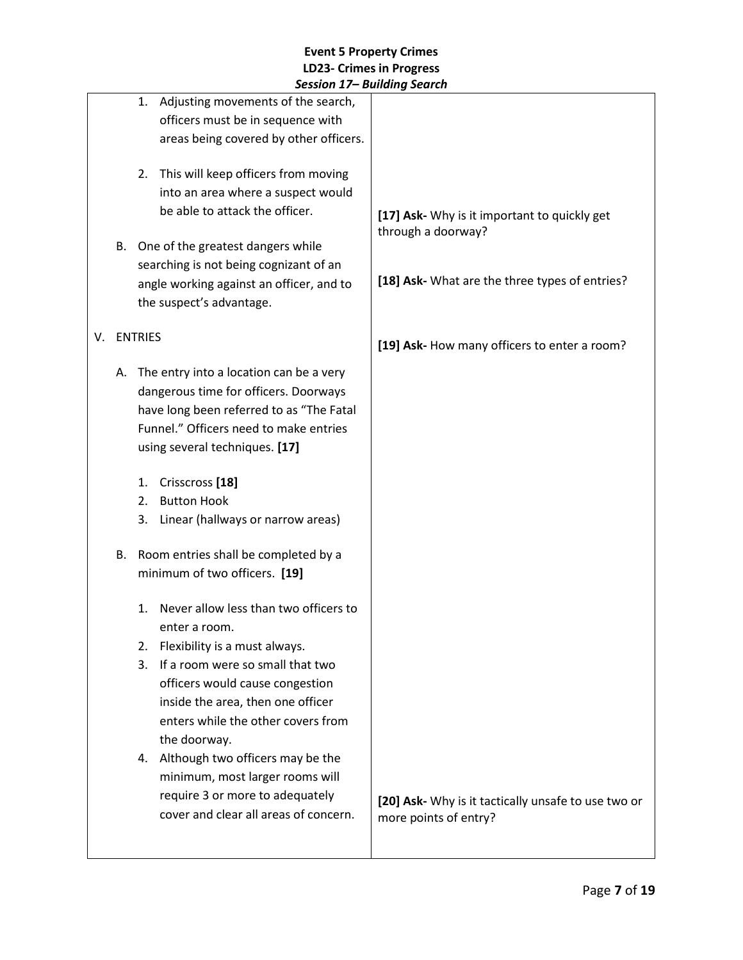|    |    | session 17– building search                                                                                                                                                                              |                                                                              |
|----|----|----------------------------------------------------------------------------------------------------------------------------------------------------------------------------------------------------------|------------------------------------------------------------------------------|
|    |    | Adjusting movements of the search,<br>1.<br>officers must be in sequence with<br>areas being covered by other officers.                                                                                  |                                                                              |
|    |    | 2. This will keep officers from moving<br>into an area where a suspect would<br>be able to attack the officer.                                                                                           | [17] Ask- Why is it important to quickly get<br>through a doorway?           |
|    | В. | One of the greatest dangers while<br>searching is not being cognizant of an                                                                                                                              |                                                                              |
|    |    | angle working against an officer, and to<br>the suspect's advantage.                                                                                                                                     | [18] Ask- What are the three types of entries?                               |
| V. |    | <b>ENTRIES</b>                                                                                                                                                                                           | [19] Ask- How many officers to enter a room?                                 |
|    | А. | The entry into a location can be a very<br>dangerous time for officers. Doorways<br>have long been referred to as "The Fatal<br>Funnel." Officers need to make entries<br>using several techniques. [17] |                                                                              |
|    |    | Crisscross [18]<br>1.                                                                                                                                                                                    |                                                                              |
|    |    | <b>Button Hook</b><br>2.<br>3.<br>Linear (hallways or narrow areas)                                                                                                                                      |                                                                              |
|    | В. | Room entries shall be completed by a<br>minimum of two officers. [19]                                                                                                                                    |                                                                              |
|    |    | Never allow less than two officers to<br>1.<br>enter a room.<br>Flexibility is a must always.<br>2.<br>If a room were so small that two<br>3.                                                            |                                                                              |
|    |    | officers would cause congestion<br>inside the area, then one officer<br>enters while the other covers from<br>the doorway.                                                                               |                                                                              |
|    |    | 4. Although two officers may be the<br>minimum, most larger rooms will<br>require 3 or more to adequately<br>cover and clear all areas of concern.                                                       | [20] Ask- Why is it tactically unsafe to use two or<br>more points of entry? |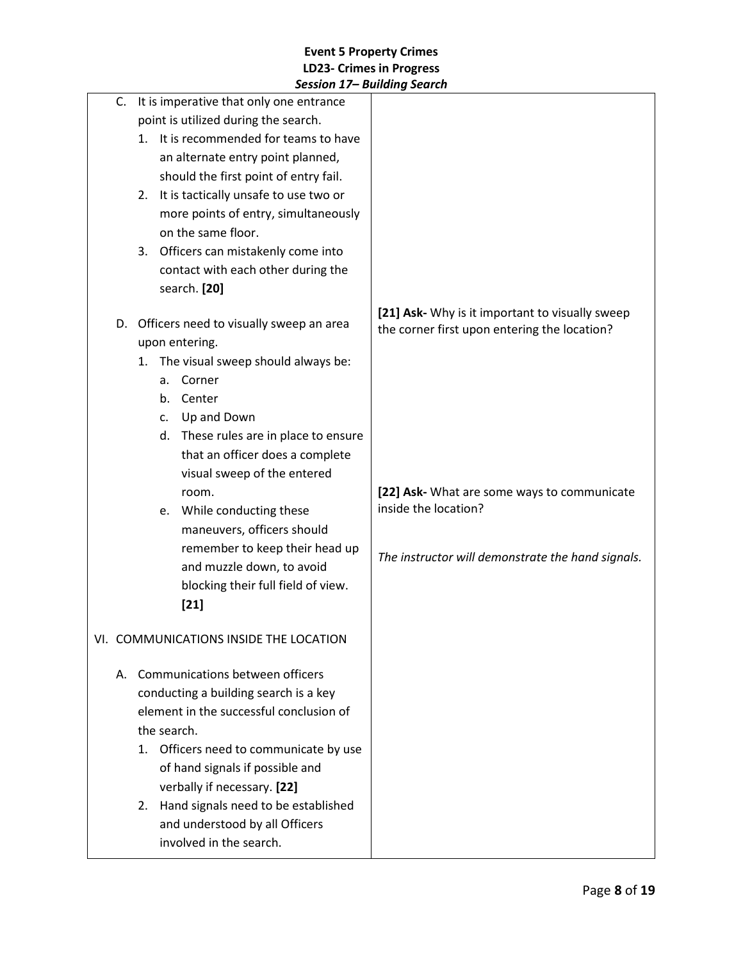|    | JESSIUII 17– DUIIUIIIY JEUIUII              |                                                                                                 |
|----|---------------------------------------------|-------------------------------------------------------------------------------------------------|
|    | C. It is imperative that only one entrance  |                                                                                                 |
|    | point is utilized during the search.        |                                                                                                 |
|    | It is recommended for teams to have<br>1.   |                                                                                                 |
|    | an alternate entry point planned,           |                                                                                                 |
|    | should the first point of entry fail.       |                                                                                                 |
|    | It is tactically unsafe to use two or<br>2. |                                                                                                 |
|    | more points of entry, simultaneously        |                                                                                                 |
|    | on the same floor.                          |                                                                                                 |
|    | Officers can mistakenly come into<br>3.     |                                                                                                 |
|    | contact with each other during the          |                                                                                                 |
|    | search. [20]                                |                                                                                                 |
| D. | Officers need to visually sweep an area     | [21] Ask- Why is it important to visually sweep<br>the corner first upon entering the location? |
|    | upon entering.                              |                                                                                                 |
|    | The visual sweep should always be:<br>1.    |                                                                                                 |
|    | Corner<br>a.                                |                                                                                                 |
|    | Center<br>b.                                |                                                                                                 |
|    | Up and Down<br>C.                           |                                                                                                 |
|    | d. These rules are in place to ensure       |                                                                                                 |
|    | that an officer does a complete             |                                                                                                 |
|    | visual sweep of the entered                 |                                                                                                 |
|    | room.                                       | [22] Ask- What are some ways to communicate                                                     |
|    | While conducting these<br>e.                | inside the location?                                                                            |
|    | maneuvers, officers should                  |                                                                                                 |
|    | remember to keep their head up              |                                                                                                 |
|    | and muzzle down, to avoid                   | The instructor will demonstrate the hand signals.                                               |
|    | blocking their full field of view.          |                                                                                                 |
|    | $[21]$                                      |                                                                                                 |
|    |                                             |                                                                                                 |
|    | VI. COMMUNICATIONS INSIDE THE LOCATION      |                                                                                                 |
|    | A. Communications between officers          |                                                                                                 |
|    | conducting a building search is a key       |                                                                                                 |
|    | element in the successful conclusion of     |                                                                                                 |
|    | the search.                                 |                                                                                                 |
|    | Officers need to communicate by use<br>1.   |                                                                                                 |
|    | of hand signals if possible and             |                                                                                                 |
|    | verbally if necessary. [22]                 |                                                                                                 |
|    | Hand signals need to be established<br>2.   |                                                                                                 |
|    | and understood by all Officers              |                                                                                                 |
|    | involved in the search.                     |                                                                                                 |
|    |                                             |                                                                                                 |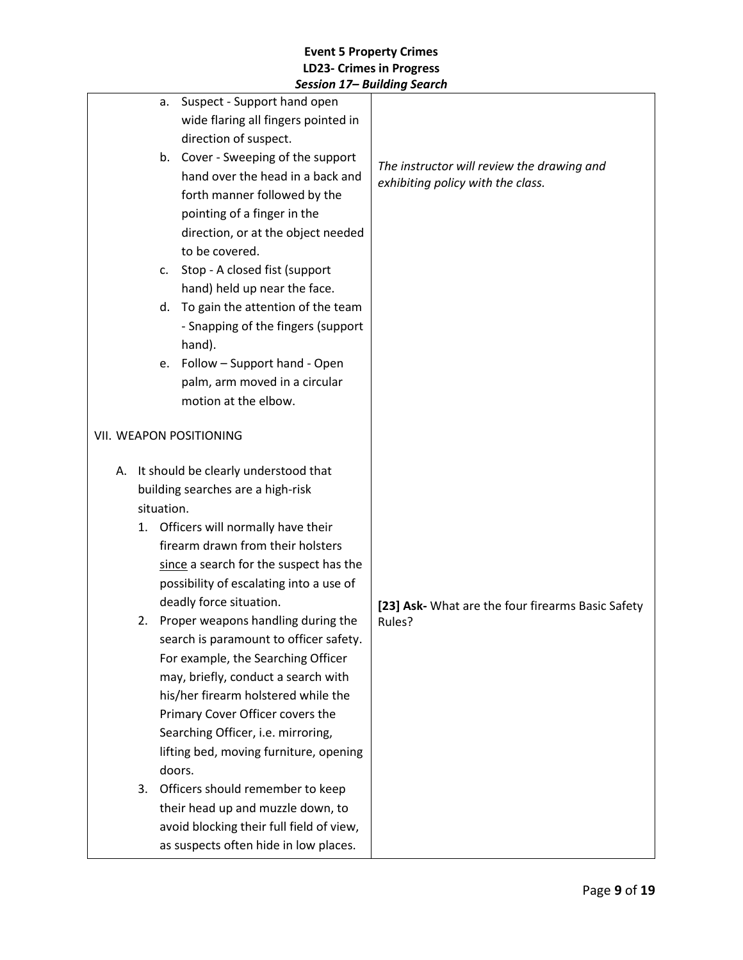| Suspect - Support hand open<br>a.               |                                                   |
|-------------------------------------------------|---------------------------------------------------|
| wide flaring all fingers pointed in             |                                                   |
| direction of suspect.                           |                                                   |
| Cover - Sweeping of the support<br>b.           | The instructor will review the drawing and        |
| hand over the head in a back and                | exhibiting policy with the class.                 |
| forth manner followed by the                    |                                                   |
| pointing of a finger in the                     |                                                   |
| direction, or at the object needed              |                                                   |
| to be covered.                                  |                                                   |
| Stop - A closed fist (support<br>c.             |                                                   |
| hand) held up near the face.                    |                                                   |
| To gain the attention of the team<br>d.         |                                                   |
| - Snapping of the fingers (support              |                                                   |
| hand).                                          |                                                   |
| Follow - Support hand - Open<br>e.              |                                                   |
| palm, arm moved in a circular                   |                                                   |
| motion at the elbow.                            |                                                   |
|                                                 |                                                   |
| VII. WEAPON POSITIONING                         |                                                   |
|                                                 |                                                   |
| A. It should be clearly understood that         |                                                   |
| building searches are a high-risk               |                                                   |
| situation.                                      |                                                   |
| Officers will normally have their<br>1.         |                                                   |
| firearm drawn from their holsters               |                                                   |
| since a search for the suspect has the          |                                                   |
| possibility of escalating into a use of         |                                                   |
| deadly force situation.                         | [23] Ask- What are the four firearms Basic Safety |
| 2. Proper weapons handling during the<br>Rules? |                                                   |
| search is paramount to officer safety.          |                                                   |
| For example, the Searching Officer              |                                                   |
| may, briefly, conduct a search with             |                                                   |
| his/her firearm holstered while the             |                                                   |
| Primary Cover Officer covers the                |                                                   |
| Searching Officer, i.e. mirroring,              |                                                   |
| lifting bed, moving furniture, opening          |                                                   |
| doors.                                          |                                                   |
| Officers should remember to keep<br>3.          |                                                   |
| their head up and muzzle down, to               |                                                   |
| avoid blocking their full field of view,        |                                                   |
| as suspects often hide in low places.           |                                                   |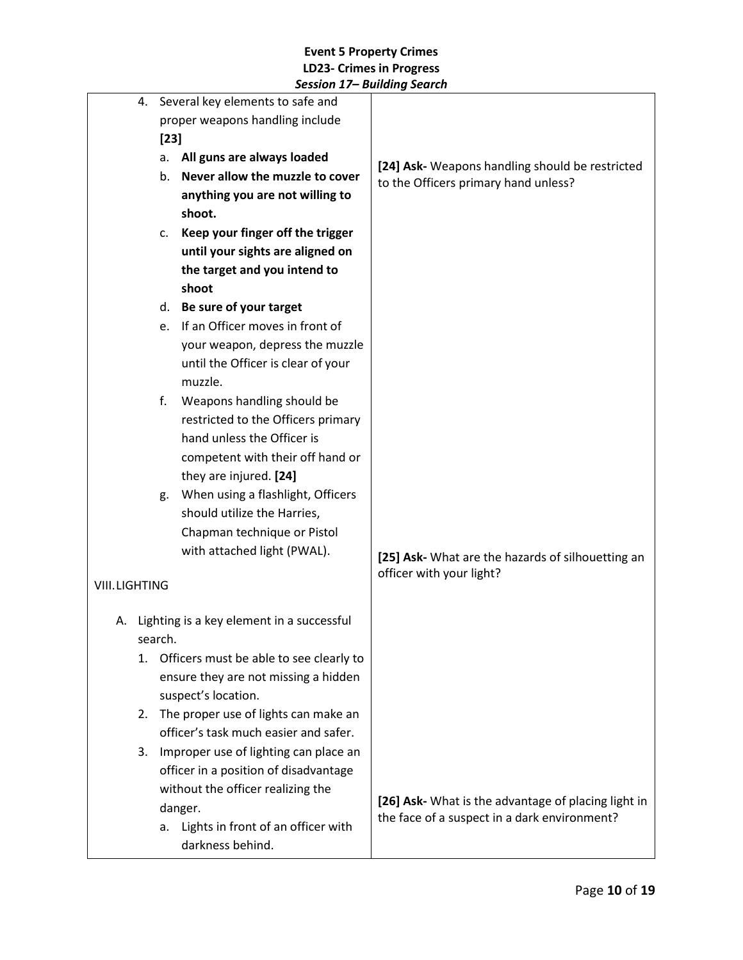| 4. Several key elements to safe and |                                  |                                                            |                                                                                                     |
|-------------------------------------|----------------------------------|------------------------------------------------------------|-----------------------------------------------------------------------------------------------------|
|                                     | proper weapons handling include  |                                                            |                                                                                                     |
|                                     | $[23]$                           |                                                            |                                                                                                     |
|                                     | All guns are always loaded<br>a. |                                                            | [24] Ask- Weapons handling should be restricted                                                     |
|                                     |                                  | Never allow the muzzle to cover<br>b.                      | to the Officers primary hand unless?                                                                |
|                                     |                                  | anything you are not willing to                            |                                                                                                     |
|                                     |                                  | shoot.                                                     |                                                                                                     |
|                                     |                                  | Keep your finger off the trigger<br>c.                     |                                                                                                     |
|                                     |                                  | until your sights are aligned on                           |                                                                                                     |
|                                     |                                  | the target and you intend to                               |                                                                                                     |
|                                     |                                  | shoot                                                      |                                                                                                     |
|                                     |                                  | Be sure of your target<br>d.                               |                                                                                                     |
|                                     |                                  | If an Officer moves in front of<br>e.                      |                                                                                                     |
|                                     |                                  | your weapon, depress the muzzle                            |                                                                                                     |
|                                     |                                  | until the Officer is clear of your                         |                                                                                                     |
|                                     |                                  | muzzle.                                                    |                                                                                                     |
|                                     |                                  | f.<br>Weapons handling should be                           |                                                                                                     |
|                                     |                                  | restricted to the Officers primary                         |                                                                                                     |
|                                     |                                  | hand unless the Officer is                                 |                                                                                                     |
|                                     |                                  | competent with their off hand or                           |                                                                                                     |
|                                     |                                  | they are injured. [24]                                     |                                                                                                     |
|                                     |                                  | When using a flashlight, Officers<br>g.                    |                                                                                                     |
|                                     |                                  | should utilize the Harries,                                |                                                                                                     |
|                                     |                                  | Chapman technique or Pistol<br>with attached light (PWAL). |                                                                                                     |
|                                     |                                  |                                                            | [25] Ask- What are the hazards of silhouetting an                                                   |
| <b>VIII.LIGHTING</b>                |                                  |                                                            | officer with your light?                                                                            |
|                                     |                                  |                                                            |                                                                                                     |
|                                     |                                  | A. Lighting is a key element in a successful               |                                                                                                     |
|                                     |                                  | search.                                                    |                                                                                                     |
|                                     |                                  | 1. Officers must be able to see clearly to                 |                                                                                                     |
|                                     |                                  | ensure they are not missing a hidden                       |                                                                                                     |
|                                     |                                  | suspect's location.                                        |                                                                                                     |
|                                     | 2.                               | The proper use of lights can make an                       |                                                                                                     |
|                                     |                                  | officer's task much easier and safer.                      |                                                                                                     |
|                                     | 3.                               | Improper use of lighting can place an                      |                                                                                                     |
|                                     |                                  | officer in a position of disadvantage                      |                                                                                                     |
|                                     |                                  | without the officer realizing the                          |                                                                                                     |
|                                     |                                  | danger.                                                    | [26] Ask- What is the advantage of placing light in<br>the face of a suspect in a dark environment? |
|                                     |                                  | Lights in front of an officer with<br>a.                   |                                                                                                     |
|                                     |                                  | darkness behind.                                           |                                                                                                     |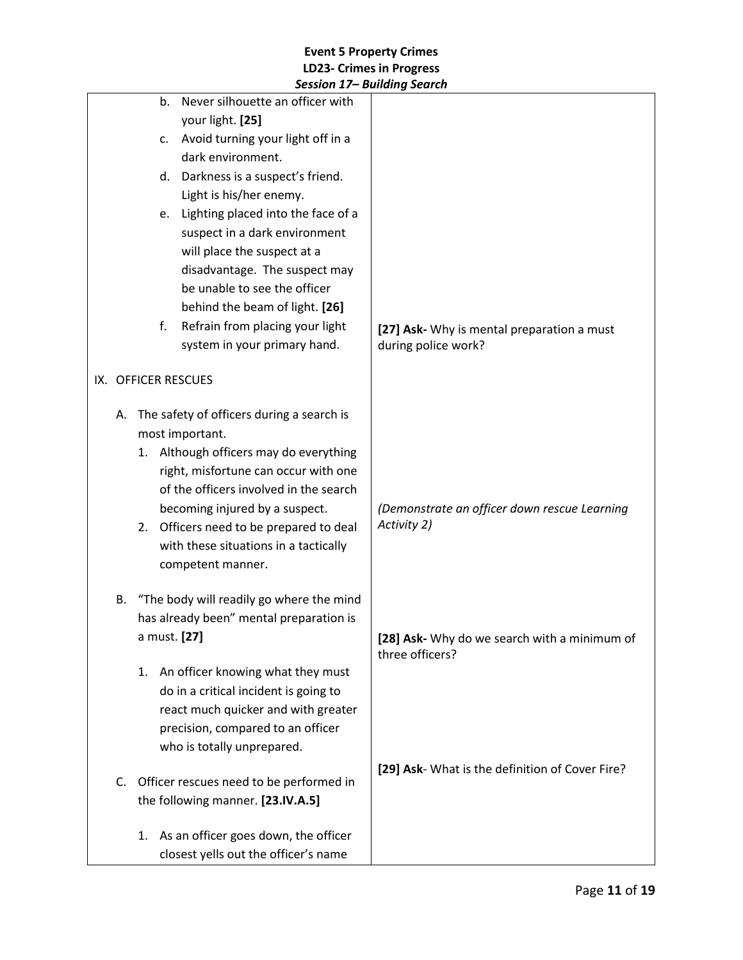|    |                     | Session 17– Bullaing Search                |                                                 |
|----|---------------------|--------------------------------------------|-------------------------------------------------|
|    | b.                  | Never silhouette an officer with           |                                                 |
|    |                     | your light. [25]                           |                                                 |
|    | c.                  | Avoid turning your light off in a          |                                                 |
|    |                     | dark environment.                          |                                                 |
|    | d.                  | Darkness is a suspect's friend.            |                                                 |
|    |                     | Light is his/her enemy.                    |                                                 |
|    | e.                  | Lighting placed into the face of a         |                                                 |
|    |                     | suspect in a dark environment              |                                                 |
|    |                     | will place the suspect at a                |                                                 |
|    |                     | disadvantage. The suspect may              |                                                 |
|    |                     | be unable to see the officer               |                                                 |
|    |                     | behind the beam of light. [26]             |                                                 |
|    | f.                  | Refrain from placing your light            | [27] Ask- Why is mental preparation a must      |
|    |                     | system in your primary hand.               | during police work?                             |
|    | IX. OFFICER RESCUES |                                            |                                                 |
|    |                     |                                            |                                                 |
| А. |                     | The safety of officers during a search is  |                                                 |
|    |                     | most important.                            |                                                 |
|    |                     | 1. Although officers may do everything     |                                                 |
|    |                     | right, misfortune can occur with one       |                                                 |
|    |                     | of the officers involved in the search     |                                                 |
|    |                     | becoming injured by a suspect.             | (Demonstrate an officer down rescue Learning    |
|    | 2.                  | Officers need to be prepared to deal       | Activity 2)                                     |
|    |                     | with these situations in a tactically      |                                                 |
|    |                     | competent manner.                          |                                                 |
| В. |                     | "The body will readily go where the mind   |                                                 |
|    |                     | has already been" mental preparation is    |                                                 |
|    | a must. [27]        |                                            | [28] Ask- Why do we search with a minimum of    |
|    |                     |                                            | three officers?                                 |
|    |                     | 1. An officer knowing what they must       |                                                 |
|    |                     | do in a critical incident is going to      |                                                 |
|    |                     | react much quicker and with greater        |                                                 |
|    |                     | precision, compared to an officer          |                                                 |
|    |                     | who is totally unprepared.                 |                                                 |
|    |                     |                                            | [29] Ask- What is the definition of Cover Fire? |
|    |                     | C. Officer rescues need to be performed in |                                                 |
|    |                     | the following manner. [23.IV.A.5]          |                                                 |
|    |                     | 1. As an officer goes down, the officer    |                                                 |
|    |                     | closest yells out the officer's name       |                                                 |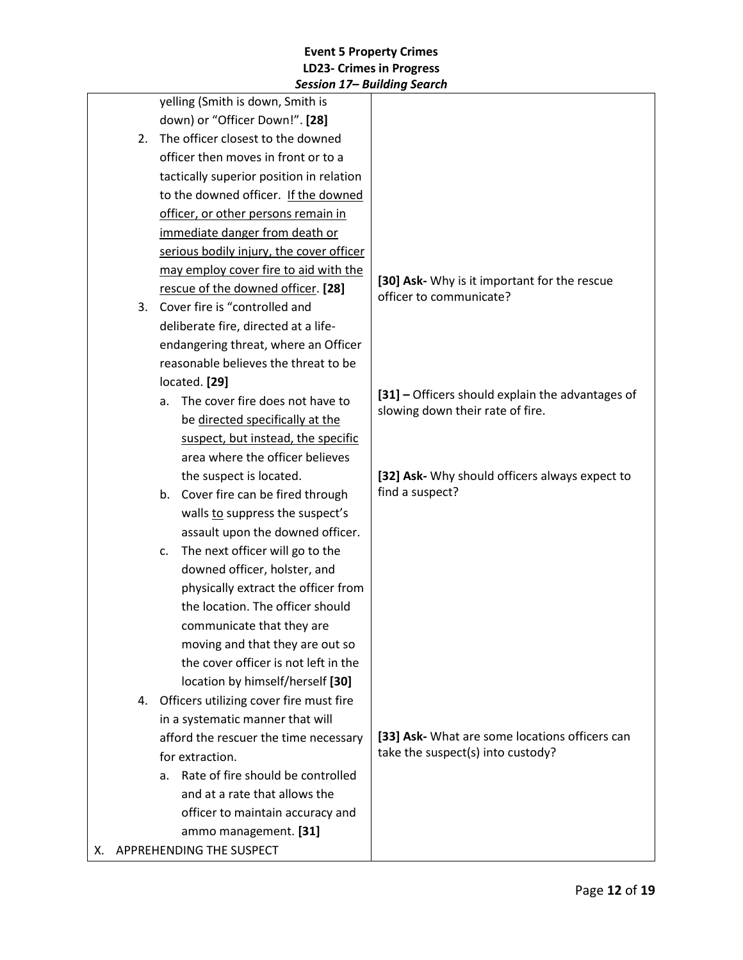|                                               | JESSIUII 17 – Duiluilly JEULUI           |                                                                         |
|-----------------------------------------------|------------------------------------------|-------------------------------------------------------------------------|
|                                               | yelling (Smith is down, Smith is         |                                                                         |
| down) or "Officer Down!". [28]                |                                          |                                                                         |
| The officer closest to the downed<br>2.       |                                          |                                                                         |
| officer then moves in front or to a           |                                          |                                                                         |
|                                               | tactically superior position in relation |                                                                         |
|                                               | to the downed officer. If the downed     |                                                                         |
|                                               | officer, or other persons remain in      |                                                                         |
|                                               | immediate danger from death or           |                                                                         |
|                                               | serious bodily injury, the cover officer |                                                                         |
|                                               | may employ cover fire to aid with the    |                                                                         |
|                                               | rescue of the downed officer. [28]       | [30] Ask- Why is it important for the rescue<br>officer to communicate? |
| 3.                                            | Cover fire is "controlled and            |                                                                         |
|                                               | deliberate fire, directed at a life-     |                                                                         |
|                                               | endangering threat, where an Officer     |                                                                         |
|                                               | reasonable believes the threat to be     |                                                                         |
|                                               | located. [29]                            |                                                                         |
|                                               | The cover fire does not have to<br>a.    | [31] - Officers should explain the advantages of                        |
|                                               | be directed specifically at the          | slowing down their rate of fire.                                        |
| suspect, but instead, the specific            |                                          |                                                                         |
| area where the officer believes               |                                          |                                                                         |
|                                               | the suspect is located.                  | [32] Ask- Why should officers always expect to                          |
|                                               | b. Cover fire can be fired through       | find a suspect?                                                         |
|                                               | walls to suppress the suspect's          |                                                                         |
|                                               | assault upon the downed officer.         |                                                                         |
|                                               | The next officer will go to the<br>c.    |                                                                         |
| downed officer, holster, and                  |                                          |                                                                         |
|                                               | physically extract the officer from      |                                                                         |
|                                               | the location. The officer should         |                                                                         |
|                                               | communicate that they are                |                                                                         |
|                                               | moving and that they are out so          |                                                                         |
|                                               | the cover officer is not left in the     |                                                                         |
|                                               | location by himself/herself [30]         |                                                                         |
| Officers utilizing cover fire must fire<br>4. |                                          |                                                                         |
|                                               | in a systematic manner that will         |                                                                         |
|                                               | afford the rescuer the time necessary    | [33] Ask- What are some locations officers can                          |
| for extraction.                               |                                          | take the suspect(s) into custody?                                       |
|                                               | Rate of fire should be controlled<br>a.  |                                                                         |
|                                               | and at a rate that allows the            |                                                                         |
|                                               | officer to maintain accuracy and         |                                                                         |
|                                               | ammo management. [31]                    |                                                                         |
| X. APPREHENDING THE SUSPECT                   |                                          |                                                                         |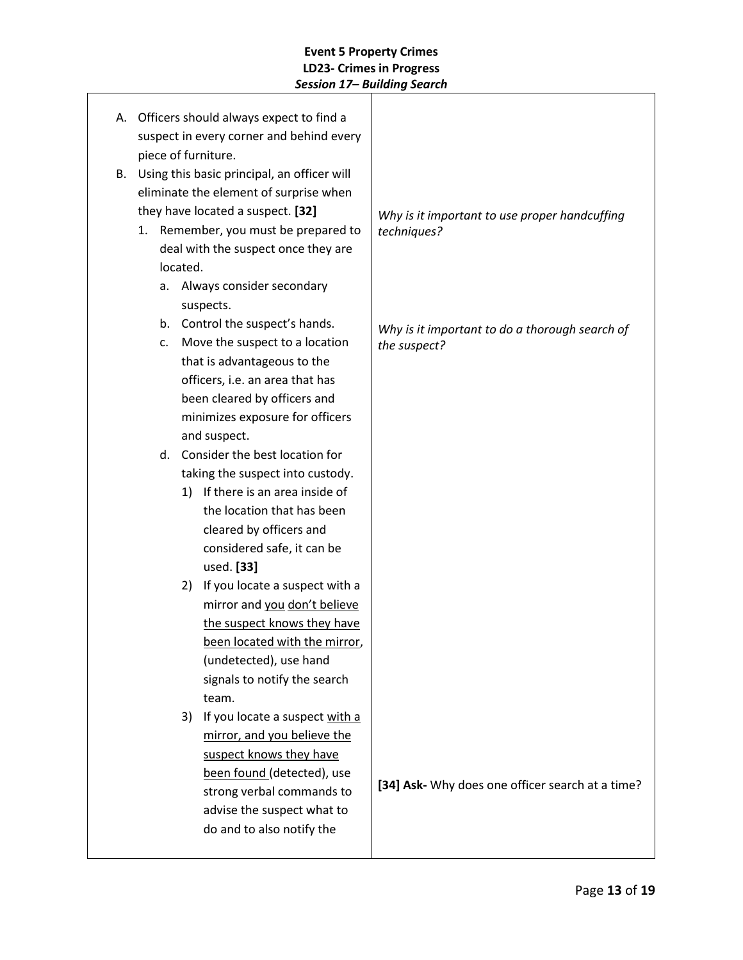| А. |                                                                                                                                  |          | Officers should always expect to find a |                                                  |
|----|----------------------------------------------------------------------------------------------------------------------------------|----------|-----------------------------------------|--------------------------------------------------|
|    | suspect in every corner and behind every                                                                                         |          |                                         |                                                  |
|    |                                                                                                                                  |          | piece of furniture.                     |                                                  |
|    | Using this basic principal, an officer will<br>В.<br>eliminate the element of surprise when<br>they have located a suspect. [32] |          |                                         |                                                  |
|    |                                                                                                                                  |          |                                         |                                                  |
|    |                                                                                                                                  |          |                                         | Why is it important to use proper handcuffing    |
|    |                                                                                                                                  |          | 1. Remember, you must be prepared to    | techniques?                                      |
|    |                                                                                                                                  |          | deal with the suspect once they are     |                                                  |
|    |                                                                                                                                  | located. |                                         |                                                  |
|    | а.                                                                                                                               |          | Always consider secondary               |                                                  |
|    |                                                                                                                                  |          | suspects.                               |                                                  |
|    |                                                                                                                                  |          | b. Control the suspect's hands.         | Why is it important to do a thorough search of   |
|    | c.                                                                                                                               |          | Move the suspect to a location          | the suspect?                                     |
|    |                                                                                                                                  |          | that is advantageous to the             |                                                  |
|    |                                                                                                                                  |          | officers, i.e. an area that has         |                                                  |
|    |                                                                                                                                  |          | been cleared by officers and            |                                                  |
|    |                                                                                                                                  |          | minimizes exposure for officers         |                                                  |
|    |                                                                                                                                  |          | and suspect.                            |                                                  |
|    |                                                                                                                                  |          | d. Consider the best location for       |                                                  |
|    |                                                                                                                                  |          | taking the suspect into custody.        |                                                  |
|    |                                                                                                                                  | 1)       | If there is an area inside of           |                                                  |
|    |                                                                                                                                  |          | the location that has been              |                                                  |
|    |                                                                                                                                  |          | cleared by officers and                 |                                                  |
|    |                                                                                                                                  |          | considered safe, it can be              |                                                  |
|    |                                                                                                                                  |          | used. [33]                              |                                                  |
|    |                                                                                                                                  | 2)       | If you locate a suspect with a          |                                                  |
|    |                                                                                                                                  |          | mirror and you don't believe            |                                                  |
|    |                                                                                                                                  |          | the suspect knows they have             |                                                  |
|    |                                                                                                                                  |          | been located with the mirror,           |                                                  |
|    |                                                                                                                                  |          | (undetected), use hand                  |                                                  |
|    |                                                                                                                                  |          | signals to notify the search            |                                                  |
|    |                                                                                                                                  |          | team.                                   |                                                  |
|    |                                                                                                                                  | 3)       | If you locate a suspect with a          |                                                  |
|    |                                                                                                                                  |          | mirror, and you believe the             |                                                  |
|    |                                                                                                                                  |          | suspect knows they have                 |                                                  |
|    |                                                                                                                                  |          | been found (detected), use              | [34] Ask- Why does one officer search at a time? |
|    |                                                                                                                                  |          | strong verbal commands to               |                                                  |
|    |                                                                                                                                  |          | advise the suspect what to              |                                                  |
|    |                                                                                                                                  |          | do and to also notify the               |                                                  |
|    |                                                                                                                                  |          |                                         |                                                  |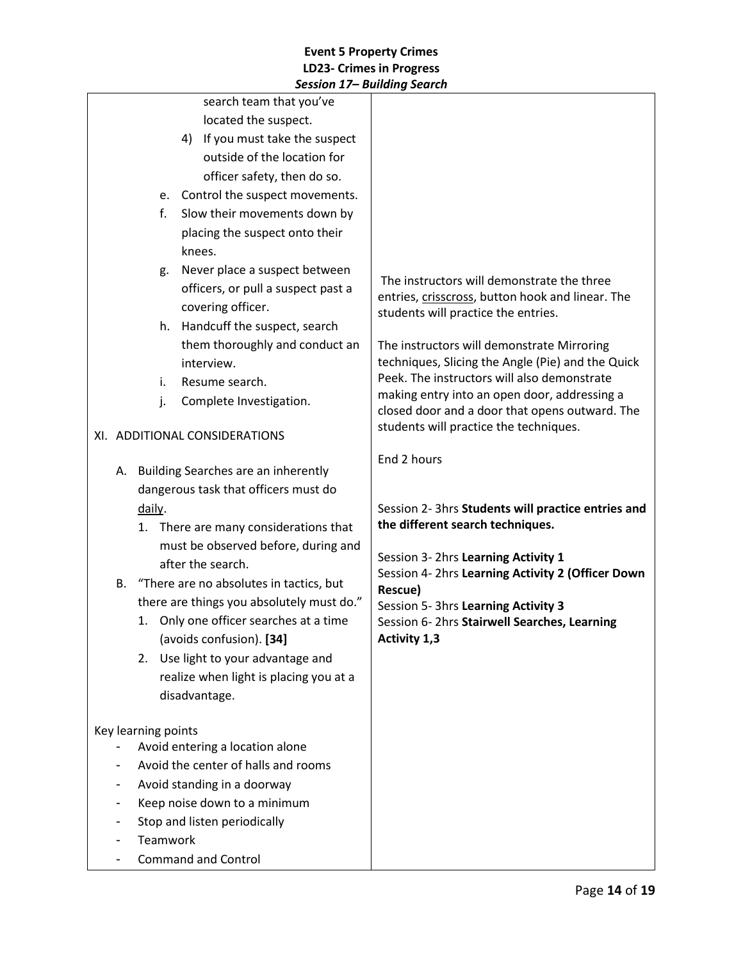|                                            |                                           |          | session 17 – Danamg search                                                               |                                                                                                |
|--------------------------------------------|-------------------------------------------|----------|------------------------------------------------------------------------------------------|------------------------------------------------------------------------------------------------|
|                                            |                                           |          | search team that you've                                                                  |                                                                                                |
|                                            |                                           |          | located the suspect.                                                                     |                                                                                                |
|                                            |                                           |          | 4) If you must take the suspect                                                          |                                                                                                |
|                                            |                                           |          | outside of the location for                                                              |                                                                                                |
|                                            |                                           |          | officer safety, then do so.                                                              |                                                                                                |
|                                            |                                           |          | e. Control the suspect movements.                                                        |                                                                                                |
|                                            |                                           | f.       | Slow their movements down by                                                             |                                                                                                |
|                                            |                                           |          | placing the suspect onto their                                                           |                                                                                                |
|                                            |                                           |          | knees.                                                                                   |                                                                                                |
|                                            |                                           | g.       | Never place a suspect between                                                            |                                                                                                |
|                                            |                                           |          | officers, or pull a suspect past a                                                       | The instructors will demonstrate the three<br>entries, crisscross, button hook and linear. The |
|                                            |                                           |          | covering officer.                                                                        | students will practice the entries.                                                            |
|                                            |                                           | h.       | Handcuff the suspect, search                                                             |                                                                                                |
|                                            |                                           |          | them thoroughly and conduct an                                                           | The instructors will demonstrate Mirroring                                                     |
|                                            |                                           |          | interview.                                                                               | techniques, Slicing the Angle (Pie) and the Quick                                              |
|                                            |                                           | i.       | Resume search.                                                                           | Peek. The instructors will also demonstrate                                                    |
|                                            |                                           | j.       | Complete Investigation.                                                                  | making entry into an open door, addressing a                                                   |
|                                            |                                           |          | closed door and a door that opens outward. The<br>students will practice the techniques. |                                                                                                |
|                                            | XI. ADDITIONAL CONSIDERATIONS             |          |                                                                                          |                                                                                                |
|                                            |                                           |          |                                                                                          | End 2 hours                                                                                    |
|                                            |                                           |          | A. Building Searches are an inherently                                                   |                                                                                                |
|                                            | dangerous task that officers must do      |          |                                                                                          |                                                                                                |
|                                            |                                           | daily.   |                                                                                          | Session 2- 3hrs Students will practice entries and                                             |
|                                            | 1. There are many considerations that     |          |                                                                                          | the different search techniques.                                                               |
|                                            |                                           |          | must be observed before, during and                                                      | Session 3- 2hrs Learning Activity 1                                                            |
|                                            |                                           |          | after the search.                                                                        | Session 4- 2hrs Learning Activity 2 (Officer Down                                              |
| B. "There are no absolutes in tactics, but |                                           |          | Rescue)                                                                                  |                                                                                                |
|                                            | there are things you absolutely must do." |          |                                                                                          | Session 5- 3hrs Learning Activity 3                                                            |
|                                            |                                           |          | 1. Only one officer searches at a time                                                   | Session 6-2hrs Stairwell Searches, Learning                                                    |
|                                            |                                           |          | (avoids confusion). [34]                                                                 | Activity 1,3                                                                                   |
|                                            |                                           | 2.       | Use light to your advantage and                                                          |                                                                                                |
|                                            |                                           |          | realize when light is placing you at a                                                   |                                                                                                |
|                                            |                                           |          | disadvantage.                                                                            |                                                                                                |
|                                            | Key learning points                       |          |                                                                                          |                                                                                                |
|                                            |                                           |          | Avoid entering a location alone                                                          |                                                                                                |
|                                            |                                           |          | Avoid the center of halls and rooms                                                      |                                                                                                |
|                                            |                                           |          | Avoid standing in a doorway                                                              |                                                                                                |
|                                            |                                           |          | Keep noise down to a minimum                                                             |                                                                                                |
|                                            |                                           |          | Stop and listen periodically                                                             |                                                                                                |
|                                            |                                           | Teamwork |                                                                                          |                                                                                                |
|                                            |                                           |          | <b>Command and Control</b>                                                               |                                                                                                |
|                                            |                                           |          |                                                                                          |                                                                                                |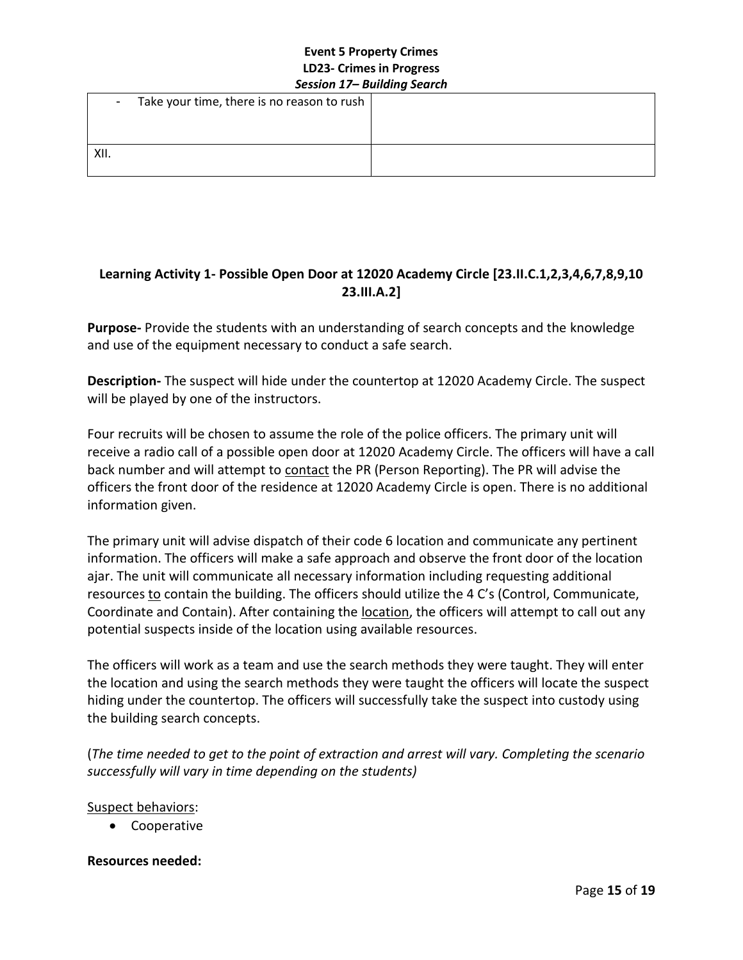| $\sim$ | Take your time, there is no reason to rush $ $ |  |
|--------|------------------------------------------------|--|
|        |                                                |  |
| XII.   |                                                |  |

# **Learning Activity 1- Possible Open Door at 12020 Academy Circle [23.II.C.1,2,3,4,6,7,8,9,10 23.III.A.2]**

**Purpose-** Provide the students with an understanding of search concepts and the knowledge and use of the equipment necessary to conduct a safe search.

**Description-** The suspect will hide under the countertop at 12020 Academy Circle. The suspect will be played by one of the instructors.

Four recruits will be chosen to assume the role of the police officers. The primary unit will receive a radio call of a possible open door at 12020 Academy Circle. The officers will have a call back number and will attempt to contact the PR (Person Reporting). The PR will advise the officers the front door of the residence at 12020 Academy Circle is open. There is no additional information given.

The primary unit will advise dispatch of their code 6 location and communicate any pertinent information. The officers will make a safe approach and observe the front door of the location ajar. The unit will communicate all necessary information including requesting additional resources to contain the building. The officers should utilize the 4 C's (Control, Communicate, Coordinate and Contain). After containing the **location**, the officers will attempt to call out any potential suspects inside of the location using available resources.

The officers will work as a team and use the search methods they were taught. They will enter the location and using the search methods they were taught the officers will locate the suspect hiding under the countertop. The officers will successfully take the suspect into custody using the building search concepts.

(*The time needed to get to the point of extraction and arrest will vary. Completing the scenario successfully will vary in time depending on the students)* 

### Suspect behaviors:

• Cooperative

### **Resources needed:**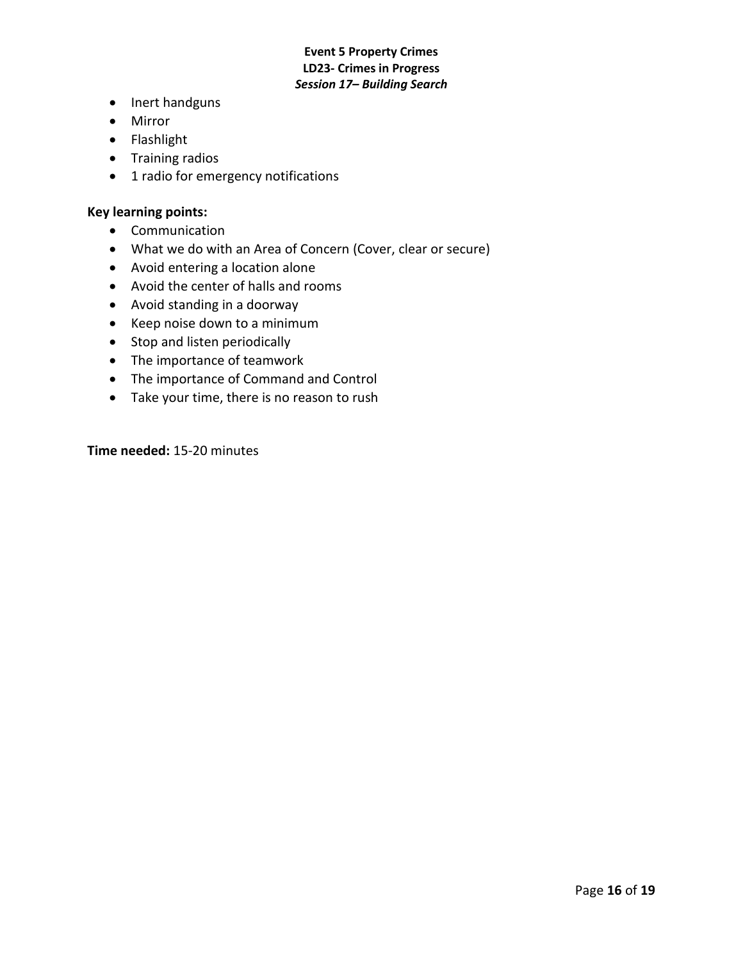- Inert handguns
- Mirror
- Flashlight
- Training radios
- 1 radio for emergency notifications

#### **Key learning points:**

- Communication
- What we do with an Area of Concern (Cover, clear or secure)
- Avoid entering a location alone
- Avoid the center of halls and rooms
- Avoid standing in a doorway
- Keep noise down to a minimum
- Stop and listen periodically
- The importance of teamwork
- The importance of Command and Control
- Take your time, there is no reason to rush

**Time needed:** 15-20 minutes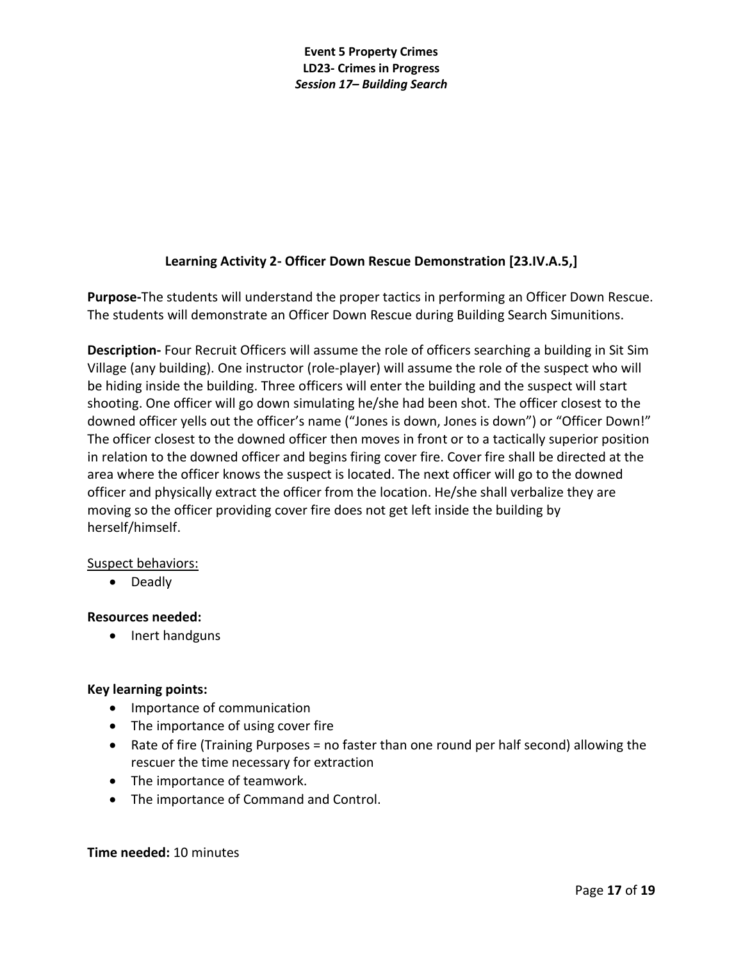# **Learning Activity 2- Officer Down Rescue Demonstration [23.IV.A.5,]**

**Purpose-**The students will understand the proper tactics in performing an Officer Down Rescue. The students will demonstrate an Officer Down Rescue during Building Search Simunitions.

**Description-** Four Recruit Officers will assume the role of officers searching a building in Sit Sim Village (any building). One instructor (role-player) will assume the role of the suspect who will be hiding inside the building. Three officers will enter the building and the suspect will start shooting. One officer will go down simulating he/she had been shot. The officer closest to the downed officer yells out the officer's name ("Jones is down, Jones is down") or "Officer Down!" The officer closest to the downed officer then moves in front or to a tactically superior position in relation to the downed officer and begins firing cover fire. Cover fire shall be directed at the area where the officer knows the suspect is located. The next officer will go to the downed officer and physically extract the officer from the location. He/she shall verbalize they are moving so the officer providing cover fire does not get left inside the building by herself/himself.

### Suspect behaviors:

• Deadly

### **Resources needed:**

• Inert handguns

## **Key learning points:**

- Importance of communication
- The importance of using cover fire
- Rate of fire (Training Purposes = no faster than one round per half second) allowing the rescuer the time necessary for extraction
- The importance of teamwork.
- The importance of Command and Control.

### **Time needed:** 10 minutes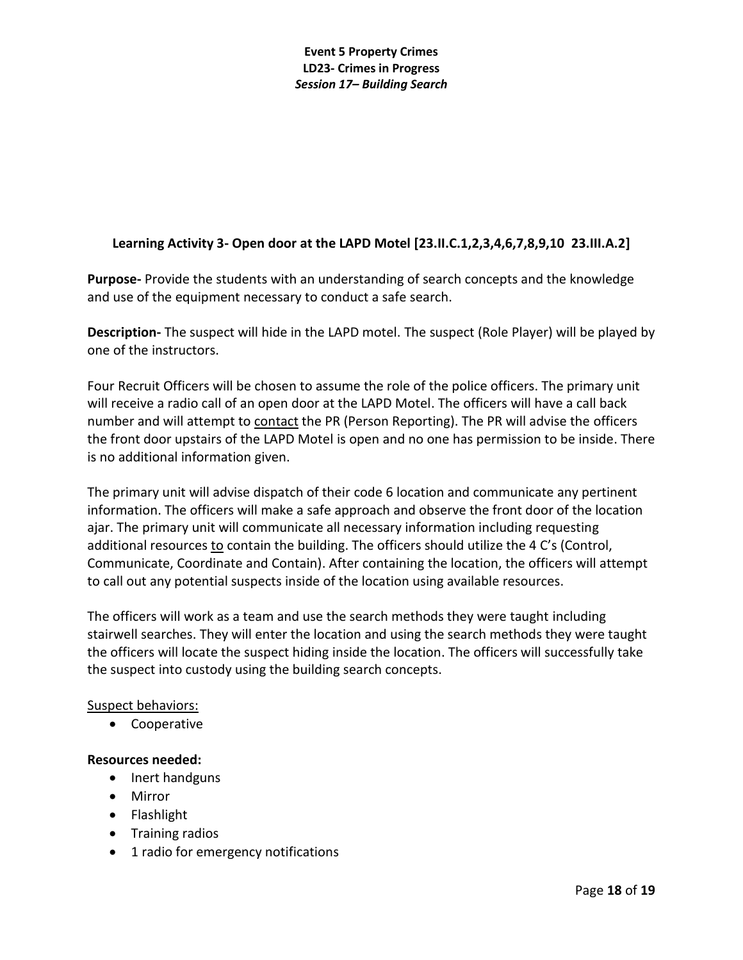# **Learning Activity 3- Open door at the LAPD Motel [23.II.C.1,2,3,4,6,7,8,9,10 23.III.A.2]**

**Purpose-** Provide the students with an understanding of search concepts and the knowledge and use of the equipment necessary to conduct a safe search.

**Description-** The suspect will hide in the LAPD motel. The suspect (Role Player) will be played by one of the instructors.

Four Recruit Officers will be chosen to assume the role of the police officers. The primary unit will receive a radio call of an open door at the LAPD Motel. The officers will have a call back number and will attempt to contact the PR (Person Reporting). The PR will advise the officers the front door upstairs of the LAPD Motel is open and no one has permission to be inside. There is no additional information given.

The primary unit will advise dispatch of their code 6 location and communicate any pertinent information. The officers will make a safe approach and observe the front door of the location ajar. The primary unit will communicate all necessary information including requesting additional resources to contain the building. The officers should utilize the 4 C's (Control, Communicate, Coordinate and Contain). After containing the location, the officers will attempt to call out any potential suspects inside of the location using available resources.

The officers will work as a team and use the search methods they were taught including stairwell searches. They will enter the location and using the search methods they were taught the officers will locate the suspect hiding inside the location. The officers will successfully take the suspect into custody using the building search concepts.

### Suspect behaviors:

• Cooperative

### **Resources needed:**

- Inert handguns
- Mirror
- Flashlight
- Training radios
- 1 radio for emergency notifications